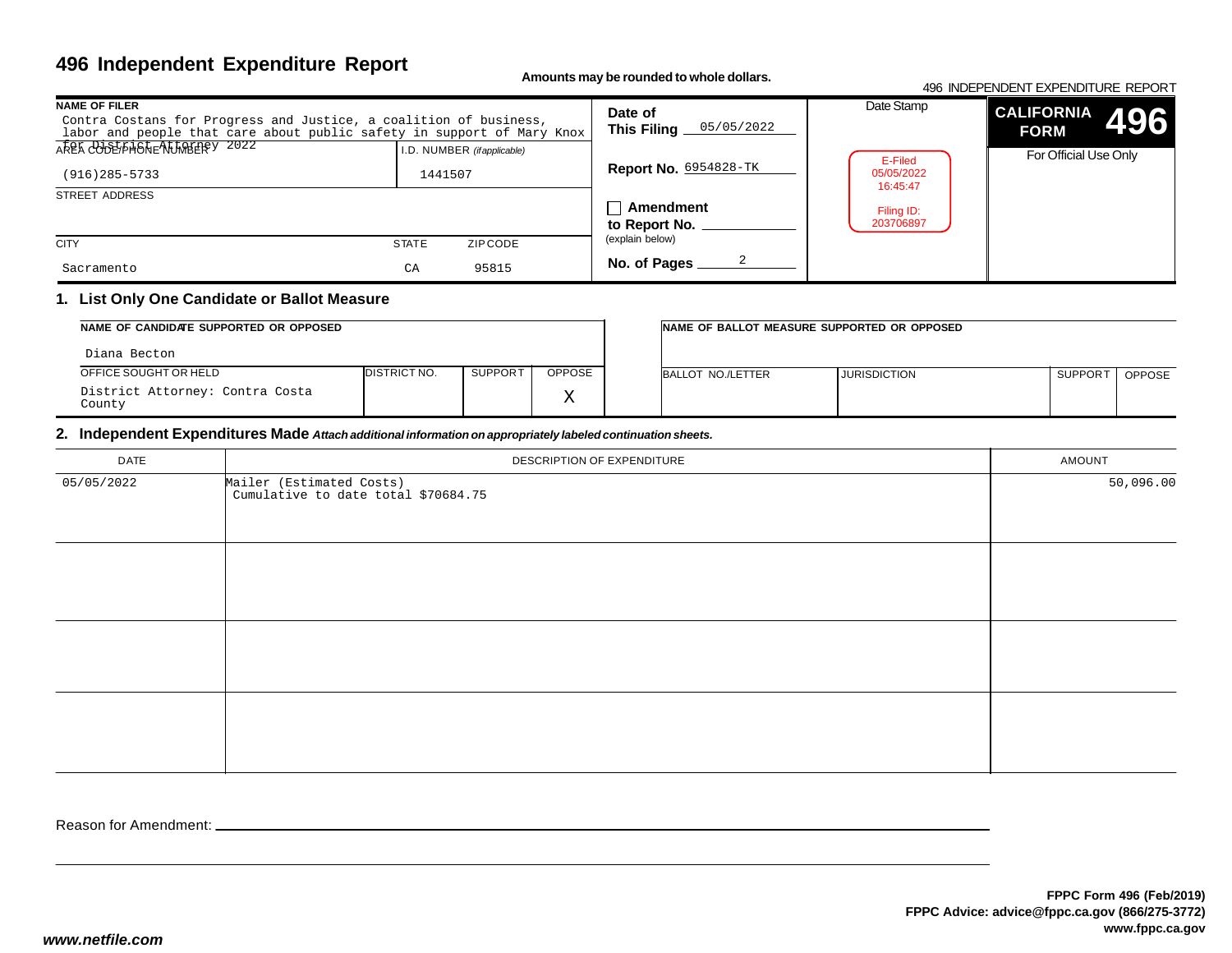# **496 Independent Expenditure Report**

**Amounts may be rounded to whole dollars.**

#### 496 INDEPENDENT EXPENDITURE REPORT**CALIFORNIAFORM** For Official Use OnlyDate Stamp**496NAME OF FILER** Contra Costans for Progress and Justice, a coalition of business, labor and people that care about public safety in support of Mary KnoxSTREET ADDRESS **CITY STATE** ZIP CODE I.D. NUMBER *(if applicable)***Date of This Filing Report No.** 6954828-TK**Amendmentto Report No. No. of Pages** AREA CODE/PHONE NUMBERFY 2022 (explain below)(916)285-5733 <sup>1441507</sup> Sacramentoo CA 95815 05/05/20222E-Filed 05/05/2022 16:45:47Filing ID:203706897

### **1. List Only One Candidate or Ballot Measure**

| NAME OF CANDIDATE SUPPORTED OR OPPOSED    |                      |         |              | INAME OF BALLOT MEASURE SUPPORTED OR OPPOSED |                     |                     |               |
|-------------------------------------------|----------------------|---------|--------------|----------------------------------------------|---------------------|---------------------|---------------|
| Diana Becton                              |                      |         |              |                                              |                     |                     |               |
| OFFICE SOUGHT OR HELD                     | <b>IDISTRICT NO.</b> | SUPPORT | OPPOSE       | BALLOT NO./LETTER                            | <b>JURISDICTION</b> | SUPPOR <sup>-</sup> | <b>OPPOSE</b> |
| District Attorney: Contra Costa<br>County |                      |         | $\tau$<br>∡⊾ |                                              |                     |                     |               |

#### **2. Independent Expenditures Made** *Attach additional information on appropriately labeled continuation sheets.*

| DATE       | DESCRIPTION OF EXPENDITURE                                      | AMOUNT    |
|------------|-----------------------------------------------------------------|-----------|
| 05/05/2022 | Mailer (Estimated Costs)<br>Cumulative to date total \$70684.75 | 50,096.00 |
|            |                                                                 |           |
|            |                                                                 |           |
|            |                                                                 |           |

Reason for Amendment: